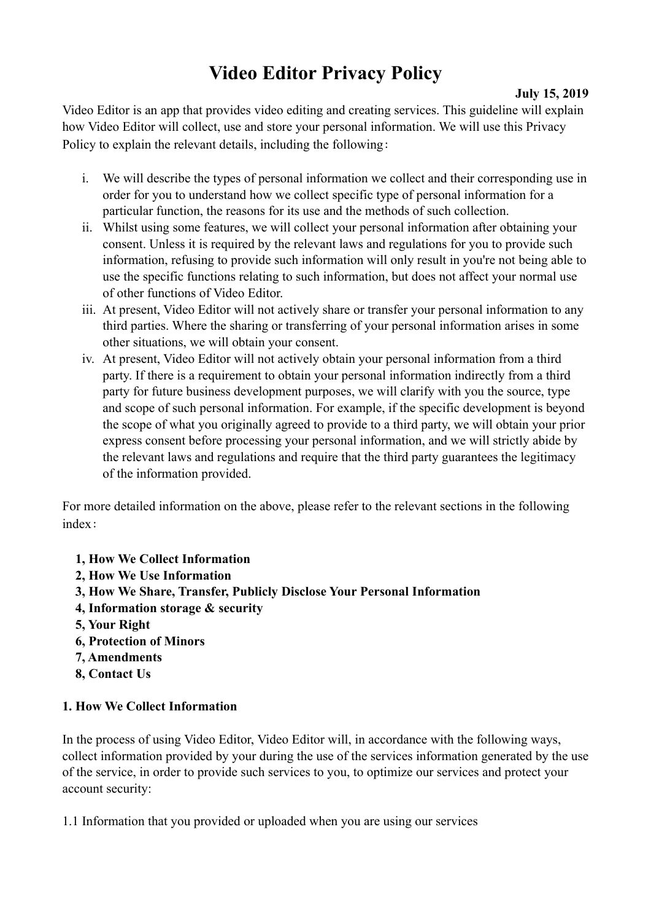# **Video Editor Privacy Policy** July 15, 2019

Video Editor is an app that provides video editing and creating services. This guideline will explain how Video Editor will collect, use and store your personal information. We will use this Privacy Policy to explain the relevant details, including the following:

- i. We will describe the types of personal information we collect and their corresponding use in order for you to understand how we collect specific type of personal information for a particular function, the reasons for its use and the methods of such collection.
- ii. Whilst using some features, we will collect your personal information after obtaining your consent. Unless it is required by the relevant laws and regulations for you to provide such information, refusing to provide such information will only result in you're not being able to use the specific functions relating to such information, but does not affect your normal use of other functions of Video Editor.
- iii. At present, Video Editor will not actively share or transfer your personal information to any third parties. Where the sharing or transferring of your personal information arises in some other situations, we will obtain your consent.
- iv. At present, Video Editor will not actively obtain your personal information from a third party. If there is a requirement to obtain your personal information indirectly from a third party for future business development purposes, we will clarify with you the source, type and scope of such personal information. For example, if the specific development is beyond the scope of what you originally agreed to provide to a third party, we will obtain your prior express consent before processing your personal information, and we will strictly abide by the relevant laws and regulations and require that the third party guarantees the legitimacy of the information provided.

For more detailed information on the above, please refer to the relevant sections in the following index:

- **1, How We Collect Information**
- **2, How We Use Information**
- **3, How We Share, Transfer, Publicly Disclose Your Personal Information**
- **4, Information storage & security**
- **5, Your Right**
- **6, Protection of Minors**
- **7, Amendments**
- **8, Contact Us**

#### **1. How We Collect Information**

In the process of using Video Editor, Video Editor will, in accordance with the following ways, collect information provided by your during the use of the services information generated by the use of the service, in order to provide such services to you, to optimize our services and protect your account security:

1.1 Information that you provided or uploaded when you are using our services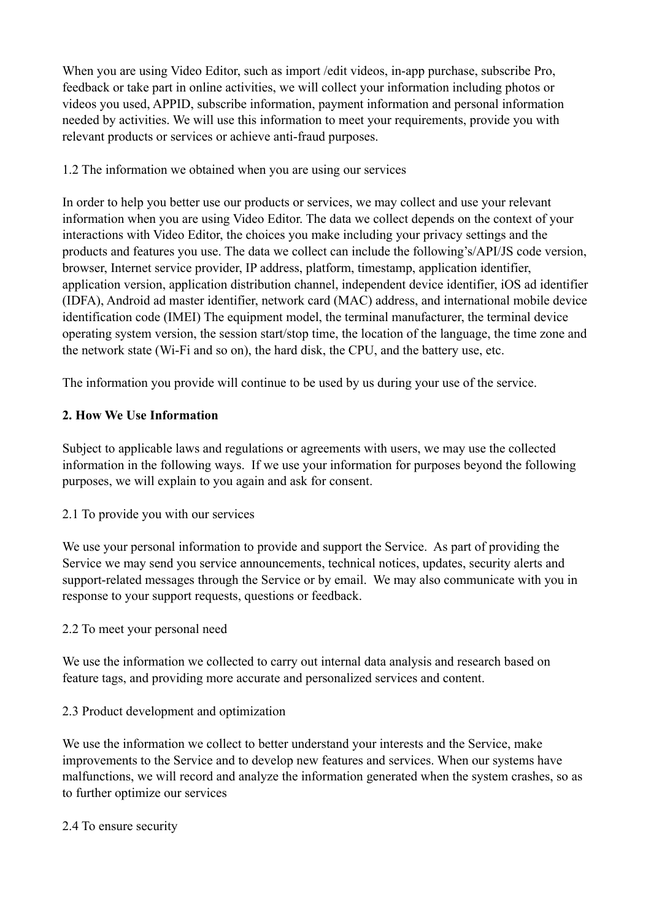When you are using Video Editor, such as import / edit videos, in-app purchase, subscribe Pro, feedback or take part in online activities, we will collect your information including photos or videos you used, APPID, subscribe information, payment information and personal information needed by activities. We will use this information to meet your requirements, provide you with relevant products or services or achieve anti-fraud purposes.

# 1.2 The information we obtained when you are using our services

In order to help you better use our products or services, we may collect and use your relevant information when you are using Video Editor. The data we collect depends on the context of your interactions with Video Editor, the choices you make including your privacy settings and the products and features you use. The data we collect can include the following's/API/JS code version, browser, Internet service provider, IP address, platform, timestamp, application identifier, application version, application distribution channel, independent device identifier, iOS ad identifier (IDFA), Android ad master identifier, network card (MAC) address, and international mobile device identification code (IMEI) The equipment model, the terminal manufacturer, the terminal device operating system version, the session start/stop time, the location of the language, the time zone and the network state (Wi-Fi and so on), the hard disk, the CPU, and the battery use, etc.

The information you provide will continue to be used by us during your use of the service.

# **2. How We Use Information**

Subject to applicable laws and regulations or agreements with users, we may use the collected information in the following ways. If we use your information for purposes beyond the following purposes, we will explain to you again and ask for consent.

2.1 To provide you with our services

We use your personal information to provide and support the Service. As part of providing the Service we may send you service announcements, technical notices, updates, security alerts and support-related messages through the Service or by email. We may also communicate with you in response to your support requests, questions or feedback.

2.2 To meet your personal need

We use the information we collected to carry out internal data analysis and research based on feature tags, and providing more accurate and personalized services and content.

# 2.3 Product development and optimization

We use the information we collect to better understand your interests and the Service, make improvements to the Service and to develop new features and services. When our systems have malfunctions, we will record and analyze the information generated when the system crashes, so as to further optimize our services

#### 2.4 To ensure security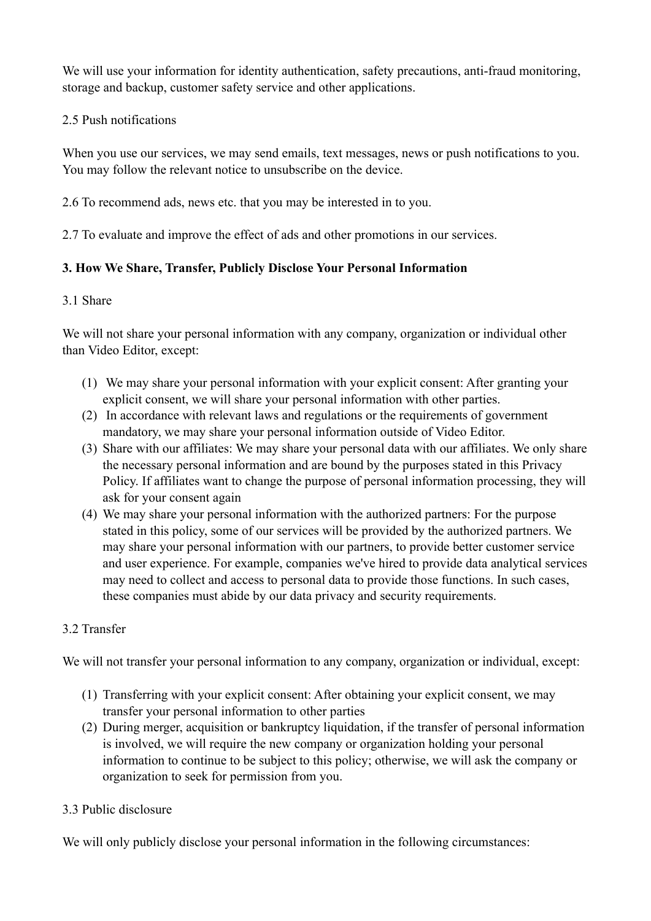We will use your information for identity authentication, safety precautions, anti-fraud monitoring, storage and backup, customer safety service and other applications.

# 2.5 Push notifications

When you use our services, we may send emails, text messages, news or push notifications to you. You may follow the relevant notice to unsubscribe on the device.

2.6 To recommend ads, news etc. that you may be interested in to you.

2.7 To evaluate and improve the effect of ads and other promotions in our services.

# **3. How We Share, Transfer, Publicly Disclose Your Personal Information**

# 3.1 Share

We will not share your personal information with any company, organization or individual other than Video Editor, except:

- (1) We may share your personal information with your explicit consent: After granting your explicit consent, we will share your personal information with other parties.
- (2) In accordance with relevant laws and regulations or the requirements of government mandatory, we may share your personal information outside of Video Editor.
- (3) Share with our affiliates: We may share your personal data with our affiliates. We only share the necessary personal information and are bound by the purposes stated in this Privacy Policy. If affiliates want to change the purpose of personal information processing, they will ask for your consent again
- (4) We may share your personal information with the authorized partners: For the purpose stated in this policy, some of our services will be provided by the authorized partners. We may share your personal information with our partners, to provide better customer service and user experience. For example, companies we've hired to provide data analytical services may need to collect and access to personal data to provide those functions. In such cases, these companies must abide by our data privacy and security requirements.

# 3.2 Transfer

We will not transfer your personal information to any company, organization or individual, except:

- (1) Transferring with your explicit consent: After obtaining your explicit consent, we may transfer your personal information to other parties
- (2) During merger, acquisition or bankruptcy liquidation, if the transfer of personal information is involved, we will require the new company or organization holding your personal information to continue to be subject to this policy; otherwise, we will ask the company or organization to seek for permission from you.

# 3.3 Public disclosure

We will only publicly disclose your personal information in the following circumstances: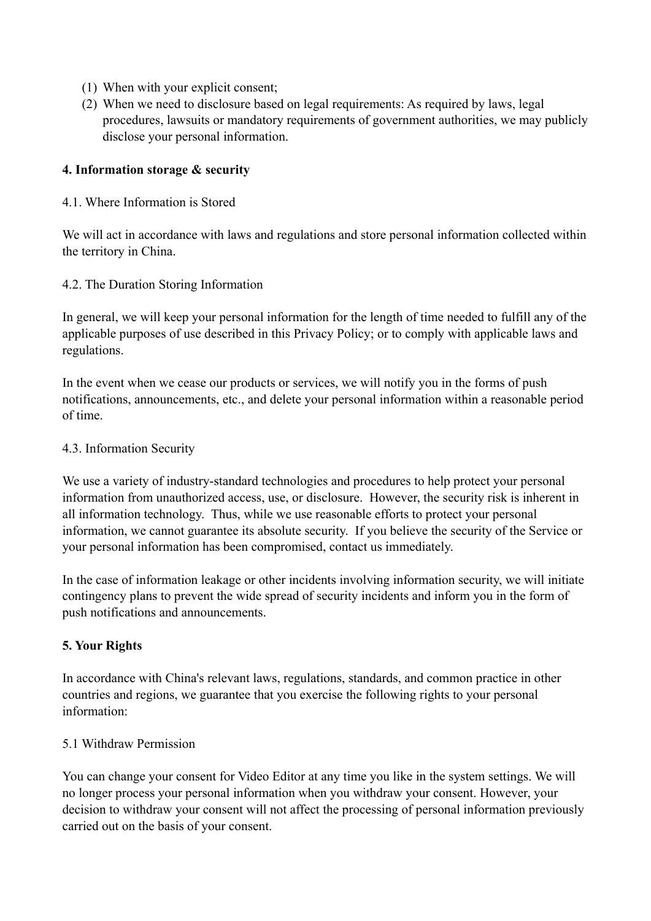- (1) When with your explicit consent;
- (2) When we need to disclosure based on legal requirements: As required by laws, legal procedures, lawsuits or mandatory requirements of government authorities, we may publicly disclose your personal information.

#### **4. Information storage & security**

#### 4.1. Where Information is Stored

We will act in accordance with laws and regulations and store personal information collected within the territory in China.

#### 4.2. The Duration Storing Information

In general, we will keep your personal information for the length of time needed to fulfill any of the applicable purposes of use described in this Privacy Policy; or to comply with applicable laws and regulations.

In the event when we cease our products or services, we will notify you in the forms of push notifications, announcements, etc., and delete your personal information within a reasonable period of time.

#### 4.3. Information Security

We use a variety of industry-standard technologies and procedures to help protect your personal information from unauthorized access, use, or disclosure. However, the security risk is inherent in all information technology. Thus, while we use reasonable efforts to protect your personal information, we cannot guarantee its absolute security. If you believe the security of the Service or your personal information has been compromised, contact us immediately.

In the case of information leakage or other incidents involving information security, we will initiate contingency plans to prevent the wide spread of security incidents and inform you in the form of push notifications and announcements.

#### **5. Your Rights**

In accordance with China's relevant laws, regulations, standards, and common practice in other countries and regions, we guarantee that you exercise the following rights to your personal information:

#### 5.1 Withdraw Permission

You can change your consent for Video Editor at any time you like in the system settings. We will no longer process your personal information when you withdraw your consent. However, your decision to withdraw your consent will not affect the processing of personal information previously carried out on the basis of your consent.